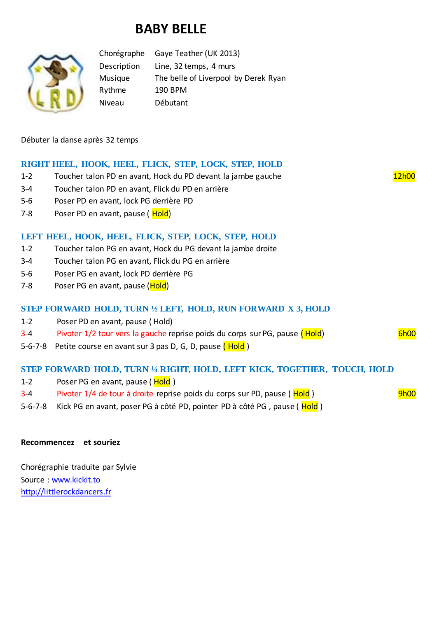# **BABY BELLE**



Chorégraphe Gaye Teather (UK 2013) Description Line, 32 temps, 4 murs Musique The belle of Liverpool by Derek Ryan Rythme 190 BPM Niveau Débutant

Débuter la danse après 32 temps

## **RIGHT HEEL, HOOK, HEEL, FLICK, STEP, LOCK, STEP, HOLD**

- 1-2 Toucher talon PD en avant, Hock du PD devant la jambe gauche 12h00
- 3-4 Toucher talon PD en avant, Flick du PD en arrière
- 5-6 Poser PD en avant, lock PG derrière PD
- 7-8 Poser PD en avant, pause (Hold)

## **LEFT HEEL, HOOK, HEEL, FLICK, STEP, LOCK, STEP, HOLD**

- 1-2 Toucher talon PG en avant, Hock du PG devant la jambe droite
- 3-4 Toucher talon PG en avant, Flick du PG en arrière
- 5-6 Poser PG en avant, lock PD derrière PG
- 7-8 Poser PG en avant, pause (Hold)

#### **STEP FORWARD HOLD, TURN ½ LEFT, HOLD, RUN FORWARD X 3, HOLD**

- 1-2 Poser PD en avant, pause ( Hold)
- 3-4 Pivoter 1/2 tour vers la gauche reprise poids du corps sur PG, pause (Hold) Figure 1. 6h00
- 5-6-7-8 Petite course en avant sur 3 pas D, G, D, pause (Hold)

### **STEP FORWARD HOLD, TURN ¼ RIGHT, HOLD, LEFT KICK, TOGETHER, TOUCH, HOLD**

- 1-2 Poser PG en avant, pause (Hold)
- 3-4 Pivoter 1/4 de tour à droite reprise poids du corps sur PD, pause (Hold ) Phone 11/4 de tour à droite reprise poids du corps sur PD, pause (Hold )
- 5-6-7-8 Kick PG en avant, poser PG à côté PD, pointer PD à côté PG, pause (Hold)

#### **Recommencez et souriez**

Chorégraphie traduite par Sylvie Source : [www.kickit.to](http://www.kickit.to/) [http://littlerockdancers.fr](http://littlerockdancers.fr/)